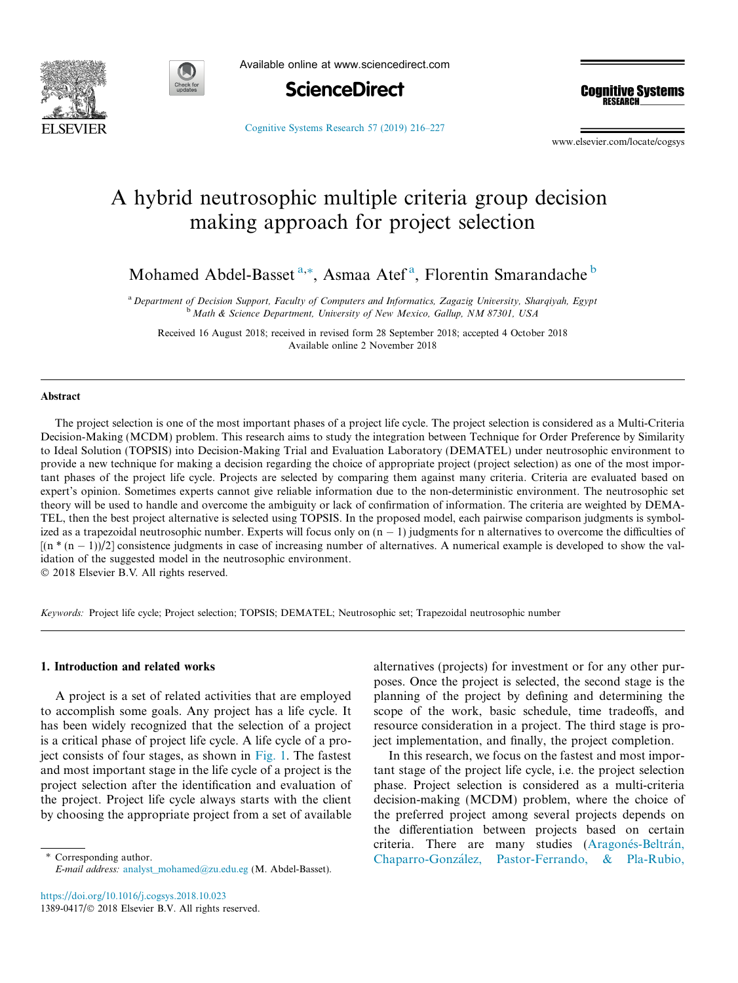



Available online at www.sciencedirect.com



**Cognitive Systems RESEARCH** 

[Cognitive Systems Research 57 \(2019\) 216–227](https://doi.org/10.1016/j.cogsys.2018.10.023)

www.elsevier.com/locate/cogsys

# A hybrid neutrosophic multiple criteria group decision making approach for project selection

Mohamed Abdel-Basset<sup>a,\*</sup>, Asmaa Atef<sup>a</sup>, Florentin Smarandache<sup>b</sup>

<sup>a</sup> Department of Decision Support, Faculty of Computers and Informatics, Zagazig University, Sharqiyah, Egypt Math & Science Department, University of New Mexico, Gallup, NM 87301, USA

Received 16 August 2018; received in revised form 28 September 2018; accepted 4 October 2018 Available online 2 November 2018

### Abstract

The project selection is one of the most important phases of a project life cycle. The project selection is considered as a Multi-Criteria Decision-Making (MCDM) problem. This research aims to study the integration between Technique for Order Preference by Similarity to Ideal Solution (TOPSIS) into Decision-Making Trial and Evaluation Laboratory (DEMATEL) under neutrosophic environment to provide a new technique for making a decision regarding the choice of appropriate project (project selection) as one of the most important phases of the project life cycle. Projects are selected by comparing them against many criteria. Criteria are evaluated based on expert's opinion. Sometimes experts cannot give reliable information due to the non-deterministic environment. The neutrosophic set theory will be used to handle and overcome the ambiguity or lack of confirmation of information. The criteria are weighted by DEMA-TEL, then the best project alternative is selected using TOPSIS. In the proposed model, each pairwise comparison judgments is symbolized as a trapezoidal neutrosophic number. Experts will focus only on  $(n - 1)$  judgments for n alternatives to overcome the difficulties of  $[(n * (n - 1))/2]$  consistence judgments in case of increasing number of alternatives. A numerical example is developed to show the validation of the suggested model in the neutrosophic environment.

2018 Elsevier B.V. All rights reserved.

Keywords: Project life cycle; Project selection; TOPSIS; DEMATEL; Neutrosophic set; Trapezoidal neutrosophic number

#### 1. Introduction and related works

A project is a set of related activities that are employed to accomplish some goals. Any project has a life cycle. It has been widely recognized that the selection of a project is a critical phase of project life cycle. A life cycle of a project consists of four stages, as shown in [Fig. 1](#page-1-0). The fastest and most important stage in the life cycle of a project is the project selection after the identification and evaluation of the project. Project life cycle always starts with the client by choosing the appropriate project from a set of available

\* Corresponding author. E-mail address: [analyst\\_mohamed@zu.edu.eg](mailto:analyst_mohamed@zu.edu.eg) (M. Abdel-Basset).

<https://doi.org/10.1016/j.cogsys.2018.10.023> 1389-0417/ $\odot$  2018 Elsevier B.V. All rights reserved. alternatives (projects) for investment or for any other purposes. Once the project is selected, the second stage is the planning of the project by defining and determining the scope of the work, basic schedule, time tradeoffs, and resource consideration in a project. The third stage is project implementation, and finally, the project completion.

In this research, we focus on the fastest and most important stage of the project life cycle, i.e. the project selection phase. Project selection is considered as a multi-criteria decision-making (MCDM) problem, where the choice of the preferred project among several projects depends on the differentiation between projects based on certain criteria. There are many studies (Aragonés-Beltrán, Chaparro-González, Pastor-Ferrando, & Pla-Rubio,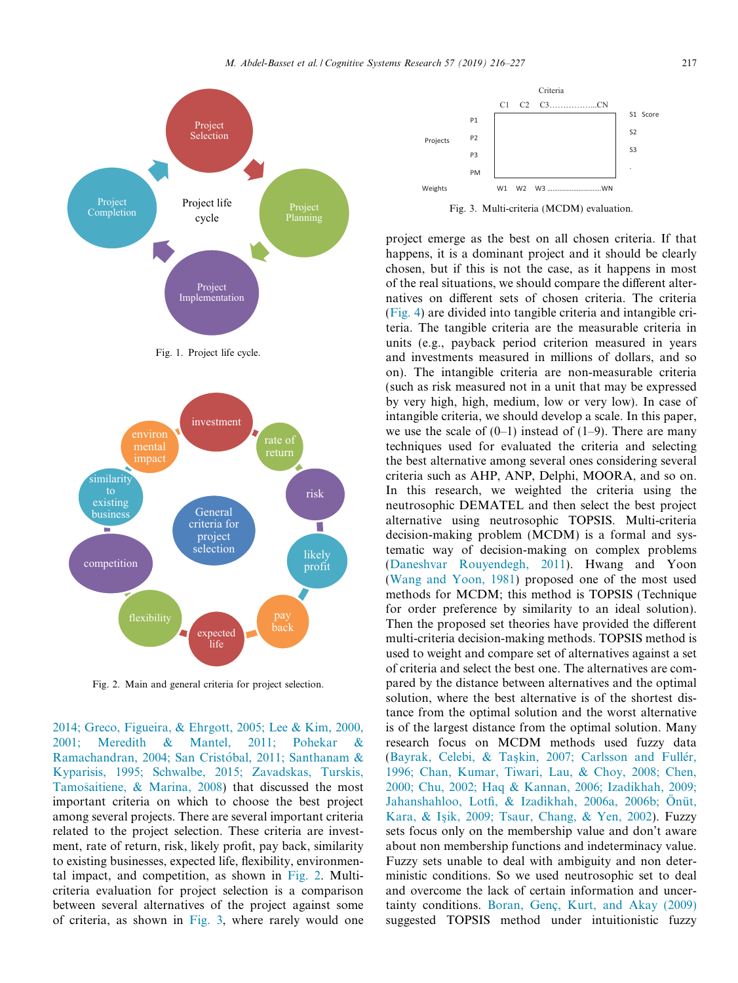<span id="page-1-0"></span>

Fig. 2. Main and general criteria for project selection.

expected life

flexibility

π

pay

[2014; Greco, Figueira, & Ehrgott, 2005; Lee & Kim, 2000,](#page-10-0) [2001; Meredith & Mantel, 2011; Pohekar &](#page-10-0) Ramachandran, 2004; San Cristóbal, 2011; Santhanam & [Kyparisis, 1995; Schwalbe, 2015; Zavadskas, Turskis,](#page-10-0) Tamošaitiene, & Marina, 2008) that discussed the most important criteria on which to choose the best project among several projects. There are several important criteria related to the project selection. These criteria are investment, rate of return, risk, likely profit, pay back, similarity to existing businesses, expected life, flexibility, environmental impact, and competition, as shown in Fig. 2. Multicriteria evaluation for project selection is a comparison between several alternatives of the project against some of criteria, as shown in Fig. 3, where rarely would one



Fig. 3. Multi-criteria (MCDM) evaluation.

project emerge as the best on all chosen criteria. If that happens, it is a dominant project and it should be clearly chosen, but if this is not the case, as it happens in most of the real situations, we should compare the different alternatives on different sets of chosen criteria. The criteria ([Fig. 4\)](#page-2-0) are divided into tangible criteria and intangible criteria. The tangible criteria are the measurable criteria in units (e.g., payback period criterion measured in years and investments measured in millions of dollars, and so on). The intangible criteria are non-measurable criteria (such as risk measured not in a unit that may be expressed by very high, high, medium, low or very low). In case of intangible criteria, we should develop a scale. In this paper, we use the scale of  $(0-1)$  instead of  $(1-9)$ . There are many techniques used for evaluated the criteria and selecting the best alternative among several ones considering several criteria such as AHP, ANP, Delphi, MOORA, and so on. In this research, we weighted the criteria using the neutrosophic DEMATEL and then select the best project alternative using neutrosophic TOPSIS. Multi-criteria decision-making problem (MCDM) is a formal and systematic way of decision-making on complex problems ([Daneshvar Rouyendegh, 2011\)](#page-11-0). Hwang and Yoon ([Wang and Yoon, 1981](#page-11-0)) proposed one of the most used methods for MCDM; this method is TOPSIS (Technique for order preference by similarity to an ideal solution). Then the proposed set theories have provided the different multi-criteria decision-making methods. TOPSIS method is used to weight and compare set of alternatives against a set of criteria and select the best one. The alternatives are compared by the distance between alternatives and the optimal solution, where the best alternative is of the shortest distance from the optimal solution and the worst alternative is of the largest distance from the optimal solution. Many research focus on MCDM methods used fuzzy data ([Bayrak, Celebi, & Ta](#page-11-0)şkin, 2007; Carlsson and Fullér, [1996; Chan, Kumar, Tiwari, Lau, & Choy, 2008; Chen,](#page-11-0) [2000; Chu, 2002; Haq & Kannan, 2006; Izadikhah, 2009;](#page-11-0) Jahanshahloo, Lotfi, & Izadikhah, 2006a, 2006b; Önüt, [Kara, & I](#page-11-0)s[ik, 2009; Tsaur, Chang, & Yen, 2002](#page-11-0)). Fuzzy sets focus only on the membership value and don't aware about non membership functions and indeterminacy value. Fuzzy sets unable to deal with ambiguity and non deterministic conditions. So we used neutrosophic set to deal and overcome the lack of certain information and uncertainty conditions. Boran, Genç, Kurt, and Akay (2009) suggested TOPSIS method under intuitionistic fuzzy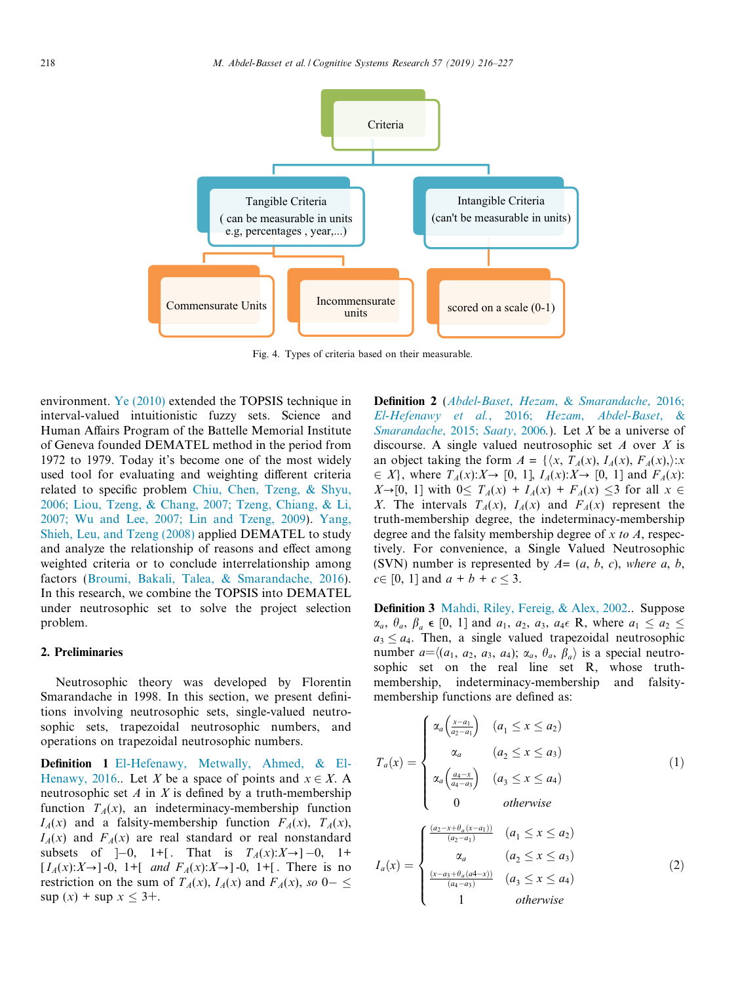<span id="page-2-0"></span>

Fig. 4. Types of criteria based on their measurable.

environment. [Ye \(2010\)](#page-11-0) extended the TOPSIS technique in interval-valued intuitionistic fuzzy sets. Science and Human Affairs Program of the Battelle Memorial Institute of Geneva founded DEMATEL method in the period from 1972 to 1979. Today it's become one of the most widely used tool for evaluating and weighting different criteria related to specific problem [Chiu, Chen, Tzeng, & Shyu,](#page-11-0) [2006; Liou, Tzeng, & Chang, 2007; Tzeng, Chiang, & Li,](#page-11-0) [2007; Wu and Lee, 2007; Lin and Tzeng, 2009\)](#page-11-0). [Yang,](#page-11-0) [Shieh, Leu, and Tzeng \(2008\)](#page-11-0) applied DEMATEL to study and analyze the relationship of reasons and effect among weighted criteria or to conclude interrelationship among factors ([Broumi, Bakali, Talea, & Smarandache, 2016\)](#page-11-0). In this research, we combine the TOPSIS into DEMATEL under neutrosophic set to solve the project selection problem.

### 2. Preliminaries

Neutrosophic theory was developed by Florentin Smarandache in 1998. In this section, we present definitions involving neutrosophic sets, single-valued neutrosophic sets, trapezoidal neutrosophic numbers, and operations on trapezoidal neutrosophic numbers.

Definition 1 [El-Hefenawy, Metwally, Ahmed, & El-](#page-11-0)[Henawy, 2016](#page-11-0).. Let X be a space of points and  $x \in X$ . A neutrosophic set  $A$  in  $X$  is defined by a truth-membership function  $T_A(x)$ , an indeterminacy-membership function  $I_A(x)$  and a falsity-membership function  $F_A(x)$ ,  $T_A(x)$ ,  $I_A(x)$  and  $F_A(x)$  are real standard or real nonstandard subsets of  $]-0$ , 1+[. That is  $T_A(x):X\to ]-0$ , 1+  $[I_A(x):X\rightarrow]$ -0, 1+[ and  $F_A(x):X\rightarrow]$ -0, 1+[. There is no restriction on the sum of  $T_A(x)$ ,  $I_A(x)$  and  $F_A(x)$ , so  $0-\leq$  $\sup(x) + \sup x \leq 3+$ .

Definition 2 ([Abdel-Baset, Hezam, & Smarandache, 2016;](#page-10-0) [El-Hefenawy et al., 2016; Hezam, Abdel-Baset, &](#page-10-0) [Smarandache, 2015; Saaty, 2006.](#page-10-0)). Let  $X$  be a universe of discourse. A single valued neutrosophic set  $A$  over  $X$  is an object taking the form  $A = \{ \langle x, T_A(x), I_A(x), F_A(x), \rangle : x \rangle \}$  $\in X$ , where  $T_A(x): X \to [0, 1]$ ,  $I_A(x): X \to [0, 1]$  and  $F_A(x):$  $X\rightarrow[0, 1]$  with  $0\leq T_A(x) + I_A(x) + F_A(x) \leq 3$  for all  $x \in$ X. The intervals  $T_A(x)$ ,  $I_A(x)$  and  $F_A(x)$  represent the truth-membership degree, the indeterminacy-membership degree and the falsity membership degree of  $x$  to  $A$ , respectively. For convenience, a Single Valued Neutrosophic (SVN) number is represented by  $A = (a, b, c)$ , where a, b,  $c \in [0, 1]$  and  $a + b + c \leq 3$ .

Definition 3 [Mahdi, Riley, Fereig, & Alex, 2002.](#page-11-0). Suppose  $\alpha_a$ ,  $\theta_a$ ,  $\beta_a$   $\in$  [0, 1] and  $a_1$ ,  $a_2$ ,  $a_3$ ,  $a_4 \in$  R, where  $a_1 \le a_2 \le a_3$  $a_3 \le a_4$ . Then, a single valued trapezoidal neutrosophic number  $a = \langle (a_1, a_2, a_3, a_4); \alpha_a, \theta_a, \beta_a \rangle$  is a special neutrosophic set on the real line set R, whose truthmembership, indeterminacy-membership and falsitymembership functions are defined as:

$$
T_a(x) = \begin{cases} \alpha_a \left(\frac{x-a_1}{a_2-a_1}\right) & (a_1 \le x \le a_2) \\ \alpha_a & (a_2 \le x \le a_3) \\ \alpha_a \left(\frac{a_4-x}{a_4-a_3}\right) & (a_3 \le x \le a_4) \\ 0 & \text{otherwise} \end{cases} \tag{1}
$$

$$
I_a(x) = \begin{cases} \frac{(a_2 - x + \theta_a(x - a_1))}{(a_2 - a_1)} & (a_1 \le x \le a_2) \\ \alpha_a & (a_2 \le x \le a_3) \\ \frac{(x - a_3 + \theta_a(a^4 - x))}{(a_4 - a_3)} & (a_3 \le x \le a_4) \\ 1 & \text{otherwise} \end{cases} \tag{2}
$$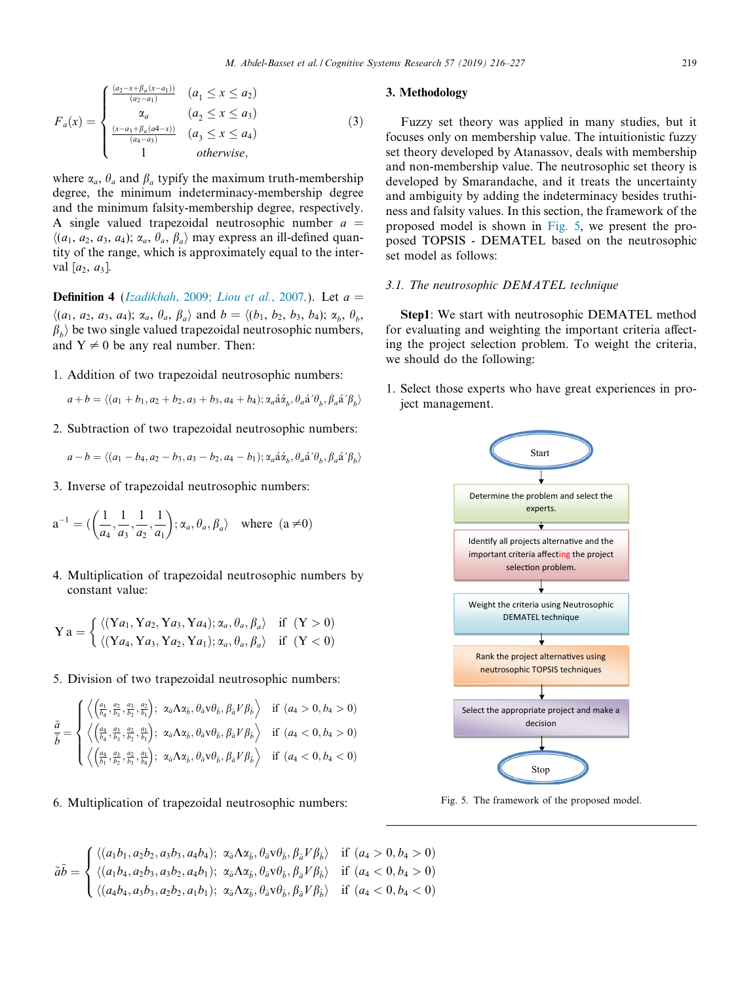3. Methodology

$$
F_a(x) = \begin{cases} \frac{(a_2 - x + \beta_a(x - a_1))}{(a_2 - a_1)} & (a_1 \le x \le a_2) \\ \alpha_a & (a_2 \le x \le a_3) \\ \frac{(x - a_3 + \beta_a(a - a_1))}{(a_4 - a_3)} & (a_3 \le x \le a_4) \\ 1 & \text{otherwise,} \end{cases} \tag{3}
$$

where  $\alpha_a$ ,  $\theta_a$  and  $\beta_a$  typify the maximum truth-membership degree, the minimum indeterminacy-membership degree and the minimum falsity-membership degree, respectively. A single valued trapezoidal neutrosophic number  $a =$  $\langle (a_1, a_2, a_3, a_4); \alpha_a, \theta_a, \beta_a \rangle$  may express an ill-defined quantity of the range, which is approximately equal to the interval  $[a_2, a_3]$ .

**Definition 4** (*Izadikhah*, 2009; *Liou et al.*, 2007.). Let  $a =$  $\langle (a_1, a_2, a_3, a_4); \alpha_a, \theta_a, \beta_a \rangle$  and  $b = \langle (b_1, b_2, b_3, b_4); \alpha_b, \theta_b, \lambda_b \rangle$  $\beta_k$  be two single valued trapezoidal neutrosophic numbers, and  $Y \neq 0$  be any real number. Then:

1. Addition of two trapezoidal neutrosophic numbers:

$$
a+b = \langle (a_1+b_1, a_2+b_2, a_3+b_3, a_4+b_4); \alpha_a \land a'_b, \theta_a \land a'_b, \beta_a \land a'_b \rangle
$$

2. Subtraction of two trapezoidal neutrosophic numbers:

$$
a-b = \langle (a_1-b_4,a_2-b_3,a_3-b_2,a_4-b_1); \alpha_a \Diamond \phi_b, \theta_a \Diamond^{\prime} \theta_b, \beta_a \Diamond^{\prime} \beta_b \rangle
$$

3. Inverse of trapezoidal neutrosophic numbers:

$$
a^{-1} = \left( \left( \frac{1}{a_4}, \frac{1}{a_3}, \frac{1}{a_2}, \frac{1}{a_1} \right); \alpha_a, \theta_a, \beta_a \right) \text{ where } (a \neq 0)
$$

4. Multiplication of trapezoidal neutrosophic numbers by constant value:

$$
\mathbf{Y}\,\mathbf{a} = \begin{cases} \langle (\mathbf{Y}a_1, \mathbf{Y}a_2, \mathbf{Y}a_3, \mathbf{Y}a_4); \alpha_a, \theta_a, \beta_a \rangle & \text{if } (\mathbf{Y} > 0) \\ \langle (\mathbf{Y}a_4, \mathbf{Y}a_3, \mathbf{Y}a_2, \mathbf{Y}a_1); \alpha_a, \theta_a, \beta_a \rangle & \text{if } (\mathbf{Y} < 0) \end{cases}
$$

5. Division of two trapezoidal neutrosophic numbers:

$$
\frac{\tilde{a}}{\tilde{b}} = \begin{cases}\n\left\langle \left(\frac{a_1}{b_4}, \frac{a_2}{b_3}, \frac{a_3}{b_2}, \frac{a_2}{b_1}\right); \alpha_{\tilde{a}} \Lambda \alpha_{\tilde{b}}, \theta_{\tilde{a}} \nu \theta_{\tilde{b}}, \beta_{\tilde{a}} \nu \beta_{\tilde{b}} \right\rangle & \text{if } (a_4 > 0, b_4 > 0) \\
\left\langle \left(\frac{a_4}{b_4}, \frac{a_3}{b_3}, \frac{a_2}{b_2}, \frac{a_1}{b_1}\right); \alpha_{\tilde{a}} \Lambda \alpha_{\tilde{b}}, \theta_{\tilde{a}} \nu \theta_{\tilde{b}}, \beta_{\tilde{a}} \nu \beta_{\tilde{b}} \right\rangle & \text{if } (a_4 < 0, b_4 > 0) \\
\left\langle \left(\frac{a_4}{b_1}, \frac{a_3}{b_2}, \frac{a_2}{b_3}, \frac{a_1}{b_4}\right); \alpha_{\tilde{a}} \Lambda \alpha_{\tilde{b}}, \theta_{\tilde{a}} \nu \theta_{\tilde{b}}, \beta_{\tilde{a}} \nu \beta_{\tilde{b}} \right\rangle & \text{if } (a_4 < 0, b_4 < 0)\n\end{cases}
$$

#### 6. Multiplication of trapezoidal neutrosophic numbers:

## developed by Smarandache, and it treats the uncertainty and ambiguity by adding the indeterminacy besides truthi-

ness and falsity values. In this section, the framework of the proposed model is shown in Fig. 5, we present the proposed TOPSIS - DEMATEL based on the neutrosophic set model as follows: 3.1. The neutrosophic DEMATEL technique

Step1: We start with neutrosophic DEMATEL method for evaluating and weighting the important criteria affecting the project selection problem. To weight the criteria, we should do the following:

Fuzzy set theory was applied in many studies, but it focuses only on membership value. The intuitionistic fuzzy set theory developed by Atanassov, deals with membership and non-membership value. The neutrosophic set theory is

1. Select those experts who have great experiences in project management.



Fig. 5. The framework of the proposed model.

$$
\tilde{a}\tilde{b} = \begin{cases} \langle (a_1b_1, a_2b_2, a_3b_3, a_4b_4); \ \alpha_{\tilde{a}}\Lambda\alpha_{\tilde{b}}, \theta_{\tilde{a}}\nu\theta_{\tilde{b}}, \beta_{\tilde{a}}V\beta_{\tilde{b}} \rangle & \text{if } (a_4 > 0, b_4 > 0) \\ \langle (a_1b_4, a_2b_3, a_3b_2, a_4b_1); \ \alpha_{\tilde{a}}\Lambda\alpha_{\tilde{b}}, \theta_{\tilde{a}}\nu\theta_{\tilde{b}}, \beta_{\tilde{a}}V\beta_{\tilde{b}} \rangle & \text{if } (a_4 < 0, b_4 > 0) \\ \langle (a_4b_4, a_3b_3, a_2b_2, a_1b_1); \ \alpha_{\tilde{a}}\Lambda\alpha_{\tilde{b}}, \theta_{\tilde{a}}\nu\theta_{\tilde{b}}, \beta_{\tilde{a}}V\beta_{\tilde{b}} \rangle & \text{if } (a_4 < 0, b_4 < 0) \end{cases}
$$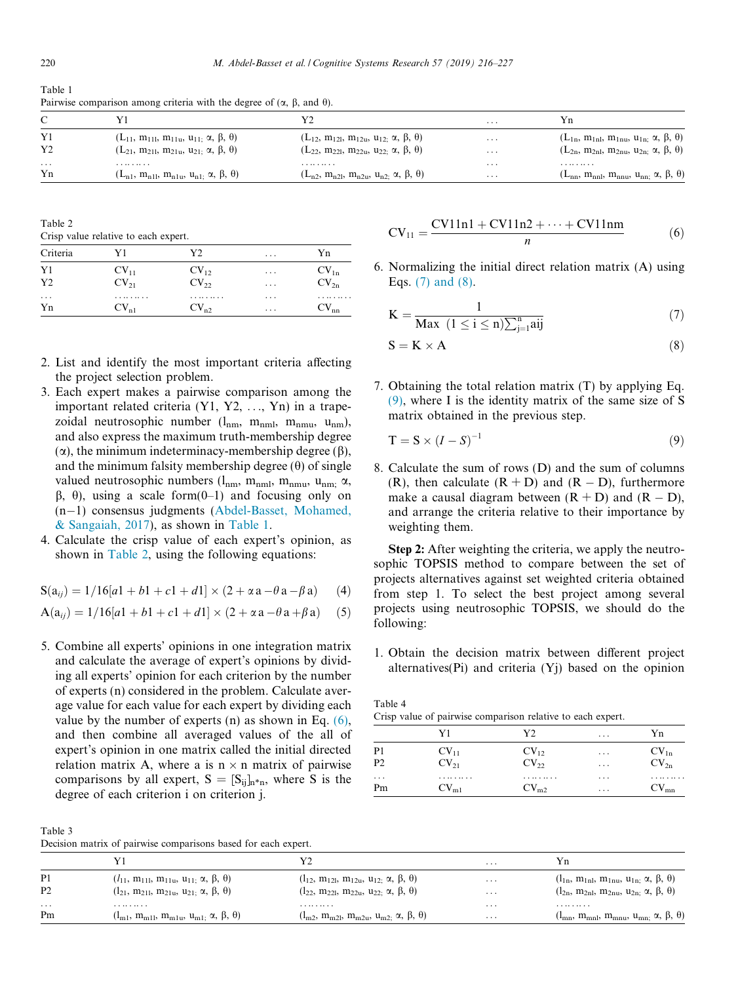| taviv t       | Pairwise comparison among criteria with the degree of $(\alpha, \beta, \text{ and } \theta)$ .                                                                                                                                                                                                                                   |                                    |  |
|---------------|----------------------------------------------------------------------------------------------------------------------------------------------------------------------------------------------------------------------------------------------------------------------------------------------------------------------------------|------------------------------------|--|
| $\mathcal{C}$ |                                                                                                                                                                                                                                                                                                                                  |                                    |  |
| $\mathbf{V}$  | $\alpha$ and $\alpha$ and $\alpha$ and $\alpha$ and $\alpha$ and $\alpha$ and $\alpha$ and $\alpha$ and $\alpha$ and $\alpha$ and $\alpha$ and $\alpha$ and $\alpha$ and $\alpha$ and $\alpha$ and $\alpha$ and $\alpha$ and $\alpha$ and $\alpha$ and $\alpha$ and $\alpha$ and $\alpha$ and $\alpha$ and $\alpha$ and $\alpha$ | $\sigma$ and $\sigma$ and $\sigma$ |  |

|    |                                                              |                                                              | .                       |                                                             |
|----|--------------------------------------------------------------|--------------------------------------------------------------|-------------------------|-------------------------------------------------------------|
|    | $(L_{11}, m_{111}, m_{11u}, u_{11}; \alpha, \beta, \theta)$  | $(L_{12}, m_{12l}, m_{12u}, u_{12i}, \alpha, \beta, \theta)$ | $\cdots$                | $(L_{1n}, m_{1n}, m_{1n}, u_{1n}; \alpha, \beta, \theta)$   |
|    | $(L_{21}, m_{211}, m_{21u}, u_{21i}, \alpha, \beta, \theta)$ | $(L_{22}, m_{22l}, m_{22u}, u_{22l}, \alpha, \beta, \theta)$ | $\cdots$                | $(L_{2n}, m_{2n}, m_{2n}, u_{2n}; \alpha, \beta, \theta)$   |
| .  |                                                              |                                                              | $\cdots$                |                                                             |
| Yn | $(L_{n1}, m_{n11}, m_{n1u}, u_{n1i}, \alpha, \beta, \theta)$ | $(L_{n2}, m_{n2l}, m_{n2u}, u_{n2i}, \alpha, \beta, \theta)$ | $\cdot$ $\cdot$ $\cdot$ | $(L_{nn}, m_{nnl}, m_{nnu}, u_{nn}; \alpha, \beta, \theta)$ |

Table 2

Crisp value relative to each expert.

| Criteria       | Y1            | V٦            | .             | Yn            |
|----------------|---------------|---------------|---------------|---------------|
| Y1             | $CV_{11}$     | $CV_{12}$     | $\cdots$      | $CV_{1n}$     |
| Y2             | $CV_{21}$     | $CV_{22}$     | $\cdots$      | $CV_{2n}$     |
| $\cdots$<br>Yn | <br>$CV_{n1}$ | <br>$CV_{n2}$ | $\cdots$<br>. | <br>$CV_{nn}$ |

- 2. List and identify the most important criteria affecting the project selection problem.
- 3. Each expert makes a pairwise comparison among the important related criteria (Y1, Y2, ..., Yn) in a trapezoidal neutrosophic number  $(l_{nm}, m_{nml}, m_{nmu}, u_{nm})$ , and also express the maximum truth-membership degree ( $\alpha$ ), the minimum indeterminacy-membership degree ( $\beta$ ), and the minimum falsity membership degree  $(\theta)$  of single valued neutrosophic numbers  $(l_{nm}, m_{nml}, m_{nmu}, u_{nmi}, \alpha)$ ,  $\beta$ ,  $\theta$ ), using a scale form(0–1) and focusing only on  $(n-1)$  consensus judgments [\(Abdel-Basset, Mohamed,](#page-10-0) [& Sangaiah, 2017\)](#page-10-0), as shown in Table 1.
- 4. Calculate the crisp value of each expert's opinion, as shown in Table 2, using the following equations:

$$
S(a_{ij}) = 1/16[a1 + b1 + c1 + d1] \times (2 + \alpha a - \theta a - \beta a)
$$
 (4)

$$
A(a_{ij}) = 1/16[a1 + b1 + c1 + d1] \times (2 + \alpha a - \theta a + \beta a)
$$
 (5)

5. Combine all experts' opinions in one integration matrix and calculate the average of expert's opinions by dividing all experts' opinion for each criterion by the number of experts (n) considered in the problem. Calculate average value for each value for each expert by dividing each value by the number of experts (n) as shown in Eq.  $(6)$ , and then combine all averaged values of the all of expert's opinion in one matrix called the initial directed relation matrix A, where a is  $n \times n$  matrix of pairwise comparisons by all expert,  $S = [S_{ij}]_{n \times n}$ , where S is the degree of each criterion i on criterion j.

 $CV_{11} = \frac{CV11n1 + CV11n2 + \dots + CV11nm}{n}$  (6)

6. Normalizing the initial direct relation matrix (A) using Eqs. (7) and (8).

$$
K = \frac{1}{\text{Max } (1 \le i \le n) \sum_{j=1}^{n} a_{ij}} \tag{7}
$$

$$
S = K \times A \tag{8}
$$

7. Obtaining the total relation matrix (T) by applying Eq. (9), where I is the identity matrix of the same size of S matrix obtained in the previous step.

$$
T = S \times (I - S)^{-1}
$$
\n(9)

8. Calculate the sum of rows (D) and the sum of columns (R), then calculate  $(R + D)$  and  $(R - D)$ , furthermore make a causal diagram between  $(R + D)$  and  $(R - D)$ , and arrange the criteria relative to their importance by weighting them.

Step 2: After weighting the criteria, we apply the neutrosophic TOPSIS method to compare between the set of projects alternatives against set weighted criteria obtained from step 1. To select the best project among several projects using neutrosophic TOPSIS, we should do the following:

1. Obtain the decision matrix between different project alternatives(Pi) and criteria (Yj) based on the opinion

Table 4 Crisp value of pairwise comparison relative to each expert.

|                | Y1                         | V٦        | .        | Yn                        |
|----------------|----------------------------|-----------|----------|---------------------------|
| P <sub>1</sub> | $CV_{11}$                  | $CV_{12}$ | $\cdots$ | $\mathrm{CV}_\mathrm{1n}$ |
| P <sub>2</sub> | $CV_{21}$                  | $CV_{22}$ | $\cdots$ | $CV_{2n}$                 |
| $\cdots$       |                            |           | $\cdots$ |                           |
| Pm             | $\mathbf{v}_{\mathrm{m1}}$ | $CV_{m2}$ | $\cdots$ | $"$ mn                    |

Table 3

| Decision matrix of pairwise comparisons based for each expert. |  |
|----------------------------------------------------------------|--|
|----------------------------------------------------------------|--|

|                |                                                             |                                                              | $\cdot$ $\cdot$ $\cdot$ | Υn                                                          |
|----------------|-------------------------------------------------------------|--------------------------------------------------------------|-------------------------|-------------------------------------------------------------|
| P <sub>1</sub> | $(l_{11}, m_{111}, m_{11u}, u_{11} \alpha, \beta, \theta)$  | $(l_{12}, m_{12l}, m_{12u}, u_{12i}, \alpha, \beta, \theta)$ | $\cdots$                | $(l_{1n}, m_{1n}, m_{1n}, u_{1n}; \alpha, \beta, \theta)$   |
| P <sub>2</sub> | $(l_{21}, m_{211}, m_{21u}, u_{21} \alpha, \beta, \theta)$  | $(l_{22}, m_{22l}, m_{22u}, u_{22i}, \alpha, \beta, \theta)$ | $\cdots$                | $(l_{2n}, m_{2n}, m_{2n}, u_{2n}; \alpha, \beta, \theta)$   |
| $\cdots$       |                                                             |                                                              | $\cdot$ $\cdot$ $\cdot$ |                                                             |
| Pm             | $(I_{m1}, m_{m11}, m_{m1u}, u_{m1}; \alpha, \beta, \theta)$ | $(l_{m2}, m_{m2l}, m_{m2u}, u_{m2i}, \alpha, \beta, \theta)$ | .                       | $(l_{mn}, m_{mnl}, m_{mnu}, u_{mn}; \alpha, \beta, \theta)$ |

<span id="page-4-0"></span>Table 1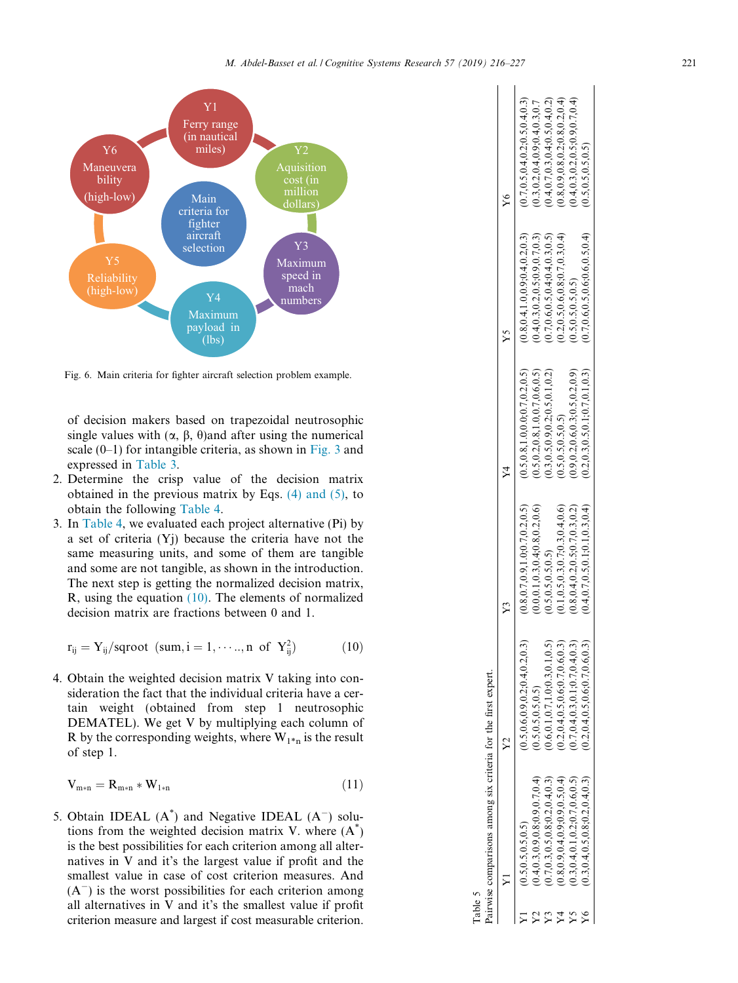<span id="page-5-0"></span>

Fig. 6. Main criteria for fighter aircraft selection problem example.

of decision makers based on trapezoidal neutrosophic single values with  $(\alpha, \beta, \theta)$  and after using the numerical scale (0–1) for intangible criteria, as shown in [Fig. 3](#page-1-0) and expressed in [Table 3](#page-4-0).

- 2. Determine the crisp value of the decision matrix obtained in the previous matrix by Eqs. [\(4\) and \(5\)](#page-4-0), to obtain the following [Table 4.](#page-4-0)
- 3. In [Table 4,](#page-4-0) we evaluated each project alternative (Pi) by a set of criteria (Yj) because the criteria have not the same measuring units, and some of them are tangible and some are not tangible, as shown in the introduction. The next step is getting the normalized decision matrix, R, using the equation (10). The elements of normalized decision matrix are fractions between 0 and 1.

$$
\mathbf{r}_{ij} = \mathbf{Y}_{ij} / \text{sqroot} \ (\text{sum}, i = 1, \cdots, n \text{ of } \mathbf{Y}_{ij}^2)
$$
 (10)

4. Obtain the weighted decision matrix V taking into consideration the fact that the individual criteria have a certain weight (obtained from step 1 neutrosophic DEMATEL). We get V by multiplying each column of R by the corresponding weights, where  $W_{1*n}$  is the result of step 1.

$$
V_{m*n} = R_{m*n} * W_{1*n}
$$
 (11)

5. Obtain IDEAL  $(A^*)$  and Negative IDEAL  $(A^-)$  solutions from the weighted decision matrix V. where  $(A^*)$ is the best possibilities for each criterion among all alternatives in V and it's the largest value if profit and the smallest value in case of cost criterion measures. And  $(A<sup>-</sup>)$  is the worst possibilities for each criterion among all alternatives in V and it's the smallest value if profit criterion measure and largest if cost measurable criterion.

| Table 5 |                                                               |                                     |                                     |                                     |                                     |                                     |
|---------|---------------------------------------------------------------|-------------------------------------|-------------------------------------|-------------------------------------|-------------------------------------|-------------------------------------|
|         | Pairwise comparisons among six criteria for the first expert. |                                     |                                     |                                     |                                     |                                     |
|         |                                                               |                                     |                                     |                                     | ÝŚ                                  | ⊱                                   |
|         | (0.5, 0.5, 0.5, 0.5)                                          | (0.5, 0.6, 0.9, 0.2, 0.4, 0.2, 0.3) | (0.8, 0.7, 0.9, 1.0, 0.7, 0.2, 0.5) | 0.5, 0.8, 1.0, 0.0, 0.7, 0.2, 0.5)  | 0.8, 0.4, 1.0, 0.9, 0.4, 0.2, 0.3   | (0.7, 0.5, 0.4, 0.2, 0.5, 0.4, 0.3) |
|         | (0.4, 0.3, 0.9, 0.8, 0.9, 0.7, 0.4)                           | 0.5, 0.5, 0.5, 0.5)                 | 0.0, 0.1, 0.3, 0.4, 0.8, 0.2, 0.6   | (0.5, 0.2, 0.8, 1.0, 0.7, 0.6, 0.5) | (0.4, 0.3, 0.2, 0.5, 0.9, 0.7, 0.3) | (0.3, 0.2, 0.4, 0.9, 0.4, 0.3, 0.7) |
|         | 0.7, 0.3, 0.5, 0.8, 0.2, 0.4, 0.3                             | 0.6, 0.1, 0.7, 1.0, 0.3, 0.1, 0.5   | 0.5, 0.5, 0.5, 0.5                  | (0.3, 0.5, 0.9, 0.2, 0.5, 0.1, 0.2) | (0.7, 0.6, 0.5, 0.4, 0.4, 0.3, 0.5) | (0.4, 0.7, 0.3, 0.4, 0.5, 0.4, 0.2) |
|         | (0.8, 0.9, 0.4, 0.9, 0.9, 0.5, 0.4)                           | 0.2, 0.4, 0.5, 0.6, 0.7, 0.6, 0.3   | 0.1, 0.5, 0.3, 0.7, 0.3, 0.4, 0.6   | 0.5, 0.5, 0.5, 0.5)                 | 0.2, 0.5, 0.6, 0.8, 0.7, 0.3, 0.4   | 0.8, 0.9, 0.8, 0.2, 0.8, 0.2, 0.4   |
|         | (0.3, 0.4, 0.1, 0.2, 0.7, 0.6, 0.5)                           | (0.7, 0.4, 0.3, 0.1, 0.7, 0.4, 0.3) | (0.8, 0.4, 0.2, 0.5, 0.7, 0.3, 0.2) | (0.9, 0.2, 0.6, 0.3, 0.5, 0.2, 0.9) | 0.5, 0.5, 0.5, 0.5)                 | (0.4, 0.3, 0.2, 0.5, 0.9, 0.7, 0.4) |
|         | (0.3, 0.4, 0.5, 0.8, 0.2, 0.4, 0.3)                           | (0.2, 0.4, 0.5, 0.6, 0.7, 0.6, 0.3) | (0.4, 0.7, 0.5, 0.1, 0.1, 0.3, 0.4) | (0.2, 0.3, 0.5, 0.1, 0.7, 0.1, 0.3) | 0.7, 0.6, 0.5, 0.6, 0.6, 0.5, 0.4   | 0.5, 0.5, 0.5, 0.5)                 |
|         |                                                               |                                     |                                     |                                     |                                     |                                     |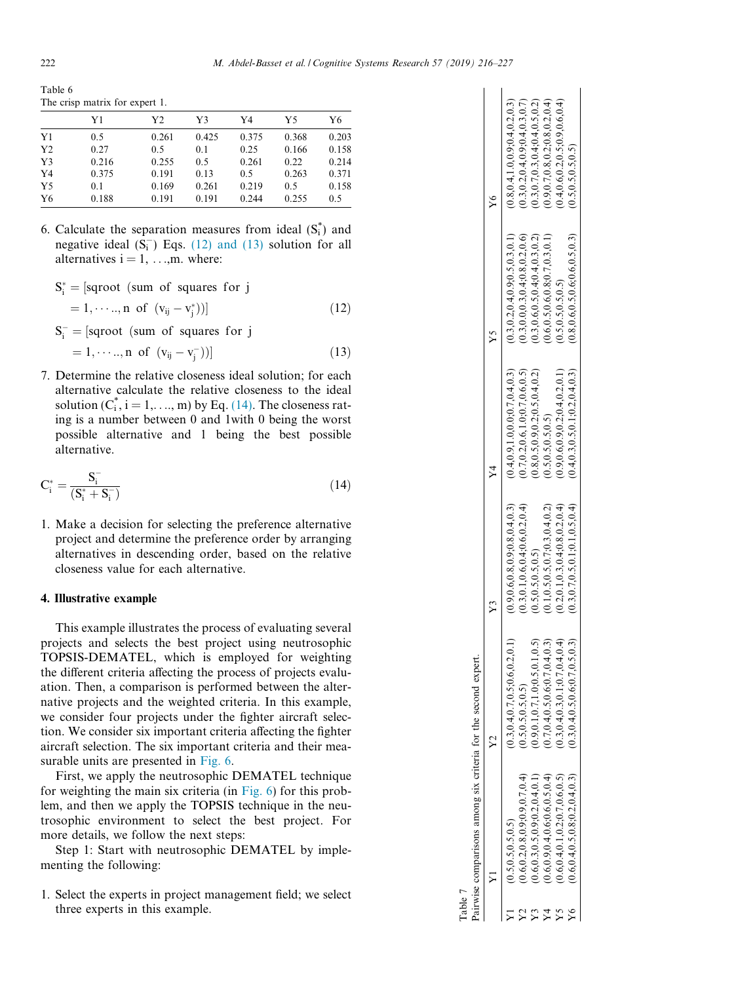<span id="page-6-0"></span>The crisp matrix for expert 1.

|                | Y1    | Y2    | Y3    | Y4    | Y5    | Y6    |
|----------------|-------|-------|-------|-------|-------|-------|
| Y1             | 0.5   | 0.261 | 0.425 | 0.375 | 0.368 | 0.203 |
| Y <sub>2</sub> | 0.27  | 0.5   | 0.1   | 0.25  | 0.166 | 0.158 |
| Y <sub>3</sub> | 0.216 | 0.255 | 0.5   | 0.261 | 0.22  | 0.214 |
| Y4             | 0.375 | 0.191 | 0.13  | 0.5   | 0.263 | 0.371 |
| Y5             | 0.1   | 0.169 | 0.261 | 0.219 | 0.5   | 0.158 |
| Y6             | 0.188 | 0.191 | 0.191 | 0.244 | 0.255 | 0.5   |
|                |       |       |       |       |       |       |

- 6. Calculate the separation measures from ideal  $(S_i^*)$  and negative ideal  $(S_i^-)$  Eqs. (12) and (13) solution for all alternatives  $i = 1, \ldots, m$ . where:
	- $S_i^* =$  [sqroot (sum of squares for j  $= 1, \dots, n \text{ of } (v_{ij} - v_i^*))$  $j^*$ ))] (12)  $S_i^-$  = [sqroot (sum of squares for j

 $= 1, \dots, n \text{ of } (v_{ij} - v_i^{-}))$  $\begin{pmatrix} -1 \\ 0 \end{pmatrix}$  (13)

7. Determine the relative closeness ideal solution; for each alternative calculate the relative closeness to the ideal solution  $(C_i^*, i = 1, \ldots, m)$  by Eq. (14). The closeness rating is a number between 0 and 1with 0 being the worst possible alternative and 1 being the best possible alternative.

$$
C_i^* = \frac{S_i^-}{(S_i^* + S_i^-)}
$$
(14)

1. Make a decision for selecting the preference alternative project and determine the preference order by arranging alternatives in descending order, based on the relative closeness value for each alternative.

#### 4. Illustrative example

This example illustrates the process of evaluating several projects and selects the best project using neutrosophic TOPSIS-DEMATEL, which is employed for weighting the different criteria affecting the process of projects evaluation. Then, a comparison is performed between the alternative projects and the weighted criteria. In this example, we consider four projects under the fighter aircraft selection. We consider six important criteria affecting the fighter aircraft selection. The six important criteria and their measurable units are presented in [Fig. 6](#page-5-0).

First, we apply the neutrosophic DEMATEL technique for weighting the main six criteria (in [Fig. 6\)](#page-5-0) for this problem, and then we apply the TOPSIS technique in the neutrosophic environment to select the best project. For more details, we follow the next steps:

Step 1: Start with neutrosophic DEMATEL by implementing the following:

1. Select the experts in project management field; we select three experts in this example.

| Table 7 |                                                               |                                     |                                     |                                          |                                     |                                     |
|---------|---------------------------------------------------------------|-------------------------------------|-------------------------------------|------------------------------------------|-------------------------------------|-------------------------------------|
|         | airwise comparisons among six criteria for the second expert. |                                     |                                     |                                          |                                     |                                     |
|         |                                                               |                                     |                                     |                                          |                                     | ⊱                                   |
|         | (0.5, 0.5, 0.5, 0.5)                                          | (0.3, 0.4, 0.7, 0.5, 0.6, 0.2, 0.1) | (0.9, 0.6, 0.8, 0.9, 0.8, 0.4, 0.3) | $(6.0, 4.0, 9.1, 0.0, 0.0, 7, 0.4, 0.3)$ | (0.3, 0.2, 0.4, 0.9, 0.5, 0.3, 0.1) | 0.8, 0.4, 1.0, 0.9, 0.4, 0.2, 0.3   |
|         | 0.6, 0.2, 0.8, 0.9, 0.9, 0.7, 0.4                             | (0.5, 0.5, 0.5, 0.5)                | (0.3, 0.1, 0.6, 0.4, 0.6, 0.2, 0.4) | (0.7, 0.2, 0.6, 1.0, 0.7, 0.6, 0.5)      | (0.3, 0.0, 0.3, 0.4, 0.8, 0.2, 0.6) | (0.3, 0.2, 0.4, 0.9, 0.4, 0.3, 0.7) |
|         | (0.6, 0.3, 0.5, 0.9, 0.2, 0.4, 0.1)                           | (0.9, 0.1, 0.7, 1.0, 0.5, 0.1, 0.5) | 0.5, 0.5, 0.5, 0.5                  | 0.8, 0.5, 0.9, 0.2, 0.5, 0.4, 0.2)       | (0.3, 0.6, 0.5, 0.4, 0.4, 0.3, 0.2) | (0.3, 0.7, 0.3, 0.4, 0.4, 0.5, 0.2) |
|         | 0.6, 0.9, 0.4, 0.6, 0.6, 0.5, 0.4                             | (0.7, 0.4, 0.5, 0.6, 0.7, 0.4, 0.3) | (0.1, 0.5, 0.5, 0.7, 0.3, 0.4, 0.2) | 0.5, 0.5, 0.5, 0.5)                      | 0.6, 0.5, 0.6, 0.8, 0.7, 0.3, 0.1   | (0.9, 0.7, 0.8, 0.2, 0.8, 0.2, 0.4) |
|         | 0.6, 0.4, 0.1, 0.2, 0.7, 0.6, 0.5                             | (0.3, 0.4, 0.3, 0.1, 0.7, 0.4, 0.4) | (0.2, 0.1, 0.3, 0.4, 0.8, 0.2, 0.4) | (0.9, 0.6, 0.9, 0.2, 0.4, 0.2, 0.1)      | (0.5, 0.5, 0.5, 0.5)                | (0.4, 0.6, 0.2, 0.5, 0.9, 0.6, 0.4) |
|         | (0.6, 0.4, 0.5, 0.8, 0.2, 0.4, 0.3)                           | (0.3, 0.4, 0.5, 0.6, 0.7, 0.5, 0.3) | (0.3, 0.7, 0.5, 0.1, 0.1, 0.5, 0.4) | (0.4, 0.3, 0.5, 0.1, 0.2, 0.4, 0.3)      | (0.8, 0.6, 0.5, 0.6, 0.6, 0.5, 0.3) | (0.5, 0.5, 0.5, 0.5)                |
|         |                                                               |                                     |                                     |                                          |                                     |                                     |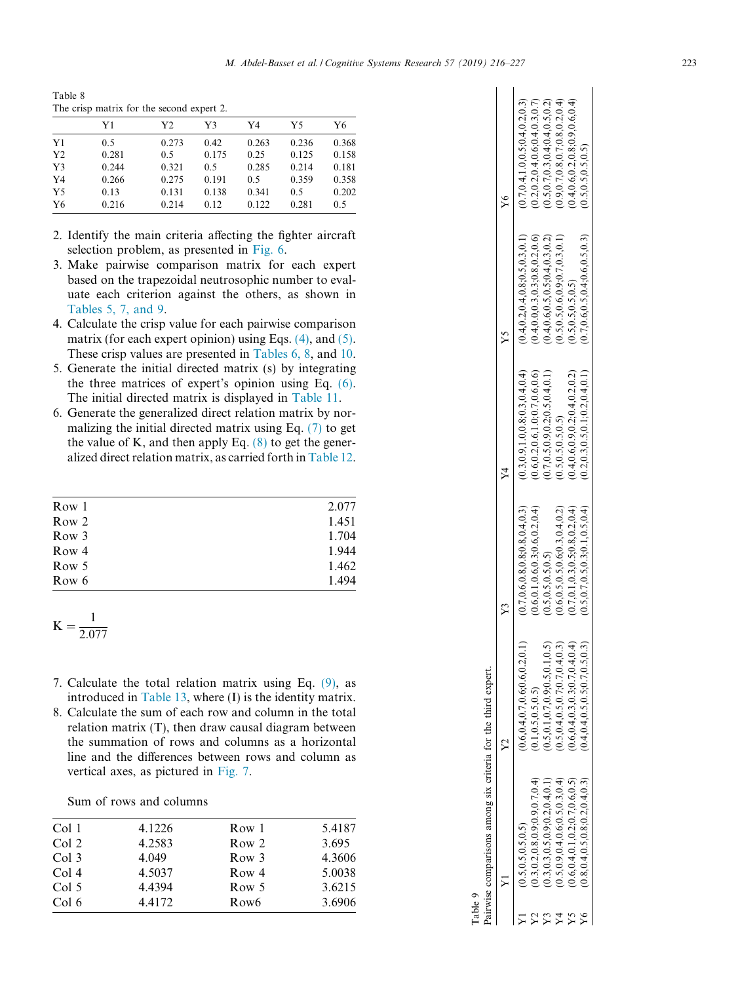Table 8 The crisp matrix for the second expert 2.

|                | Y1    | Y2    | Y3    | Y4    | Y5    | Y6    |
|----------------|-------|-------|-------|-------|-------|-------|
| Y <sub>1</sub> | 0.5   | 0.273 | 0.42  | 0.263 | 0.236 | 0.368 |
| Y <sub>2</sub> | 0.281 | 0.5   | 0.175 | 0.25  | 0.125 | 0.158 |
| Y <sub>3</sub> | 0.244 | 0.321 | 0.5   | 0.285 | 0.214 | 0.181 |
| Y4             | 0.266 | 0.275 | 0.191 | 0.5   | 0.359 | 0.358 |
| Y <sub>5</sub> | 0.13  | 0.131 | 0.138 | 0.341 | 0.5   | 0.202 |
| Y6             | 0.216 | 0.214 | 0.12  | 0.122 | 0.281 | 0.5   |
|                |       |       |       |       |       |       |

- 2. Identify the main criteria affecting the fighter aircraft selection problem, as presented in [Fig. 6](#page-5-0).
- 3. Make pairwise comparison matrix for each expert based on the trapezoidal neutrosophic number to evaluate each criterion against the others, as shown in [Tables 5, 7, and 9](#page-5-0).
- 4. Calculate the crisp value for each pairwise comparison matrix (for each expert opinion) using Eqs. [\(4\),](#page-4-0) and [\(5\).](#page-4-0) These crisp values are presented in [Tables 6, 8,](#page-6-0) and [10.](#page-8-0)
- 5. Generate the initial directed matrix (s) by integrating the three matrices of expert's opinion using Eq. [\(6\).](#page-4-0) The initial directed matrix is displayed in [Table 11](#page-8-0).
- 6. Generate the generalized direct relation matrix by normalizing the initial directed matrix using Eq. [\(7\)](#page-4-0) to get the value of K, and then apply Eq.  $(8)$  to get the generalized direct relation matrix, as carried forth in [Table 12.](#page-8-0)

| Row 1 | 2.077 |
|-------|-------|
| Row 2 | 1.451 |
| Row 3 | 1.704 |
| Row 4 | 1.944 |
| Row 5 | 1.462 |
| Row 6 | 1.494 |
|       |       |

$$
K = \frac{1}{2.077}
$$

- 7. Calculate the total relation matrix using Eq. [\(9\)](#page-4-0), as introduced in [Table 13,](#page-8-0) where (I) is the identity matrix.
- 8. Calculate the sum of each row and column in the total relation matrix (T), then draw causal diagram between the summation of rows and columns as a horizontal line and the differences between rows and column as vertical axes, as pictured in [Fig. 7.](#page-8-0)

Sum of rows and columns

| Col 1            | 4.1226 | Row 1            | 5.4187 |
|------------------|--------|------------------|--------|
| Col <sub>2</sub> | 4.2583 | Row 2            | 3.695  |
| Col 3            | 4.049  | Row 3            | 4.3606 |
| Col 4            | 4.5037 | Row 4            | 5.0038 |
| Col <sub>5</sub> | 4.4394 | Row 5            | 3.6215 |
| Col 6            | 4.4172 | Row <sub>6</sub> | 3.6906 |
|                  |        |                  |        |

| Table 9 |                                                               |                                     |                                     |                                     |                                     |                                     |
|---------|---------------------------------------------------------------|-------------------------------------|-------------------------------------|-------------------------------------|-------------------------------------|-------------------------------------|
|         | Pairwise comparisons among six criteria for the third expert. |                                     |                                     |                                     |                                     |                                     |
|         |                                                               |                                     |                                     |                                     | Ϋ́                                  | $\frac{1}{2}$                       |
|         | (0.5, 0.5, 0.5, 0.5)                                          | (0.6, 0.4, 0.7, 0.6, 0.6, 0.2, 0.1) | (0.7, 0.6, 0.8, 0.8, 0.8, 0.4, 0.3) | (0.3, 0.9, 1.0, 0.8, 0.3, 0.4, 0.4) | (0.4, 0.2, 0.4, 0.8, 0.5, 0.3, 0.1) | (0.7, 0.4, 1.0, 0.5, 0.4, 0.2, 0.3) |
|         | (0.3, 0.2, 0.8, 0.9, 0.7, 0.4)                                | 0.1, 0.5, 0.5, 0.5)                 | (0.6, 0.1, 0.6, 0.3, 0.6, 0.2, 0.4) | 0.6, 0.2, 0.6, 1.0, 0.7, 0.6, 0.6)  | 0.4, 0.0, 0.3, 0.3, 0.8, 0.2, 0.6   | (0.2, 0.2, 0.4, 0.6, 0.4, 0.3, 0.7) |
|         | (0.3, 0.3, 0.5, 0.9, 0.2, 0.4, 0.1)                           | 0.5, 0.1, 0.7, 0.9, 0.5, 0.1, 0.5)  | (0.5, 0.5, 0.5, 0.5)                | (0.7, 0.5, 0.9, 0.2, 0.5, 0.4, 0.1) | (0.4, 0.6, 0.5, 0.5, 0.4, 0.3, 0.2) | (0.5, 0.7, 0.3, 0.4, 0.4, 0.5, 0.2) |
|         | 0.5, 0.9, 0.4, 0.6, 0.5, 0.3, 0.4                             | (0.5, 0.4, 0.5, 0.7, 0.7, 0.4, 0.3) | (0.6, 0.5, 0.5, 0.6, 0.3, 0.4, 0.2) | (0.5, 0.5, 0.5, 0.5)                | (0.5, 0.5, 0.6, 0.9, 0.7, 0.3, 0.1) | (0.9, 0.7, 0.8, 0.7, 0.8, 0.2, 0.4) |
|         | 0.6, 0.4, 0.1, 0.2, 0.7, 0.6, 0.5                             | 0.6, 0.4, 0.3, 0.3, 0.7, 0.4, 0.4)  | (0.7, 0.1, 0.3, 0.5, 0.8, 0.2, 0.4) | (0.4, 0.6, 0.9, 0.2, 0.4, 0.2, 0.2) | 0.5, 0.5, 0.5, 0.5)                 | (0.4, 0.6, 0.2, 0.8, 0.9, 0.6, 0.4) |
|         | (0.8, 0.4, 0.5, 0.8; 0.2, 0.4, 0.3)                           | (0.4, 0.4, 0.5, 0.5, 0.7, 0.5, 0.3) | (0.5, 0.7, 0.5, 0.3, 0.1, 0.5, 0.4) | (0.2, 0.3, 0.5, 0.1, 0.2, 0.4, 0.1) | (0.7, 0.6, 0.5, 0.4, 0.6, 0.5, 0.3) | (0.5, 0.5, 0.5, 0.5)                |
|         |                                                               |                                     |                                     |                                     |                                     |                                     |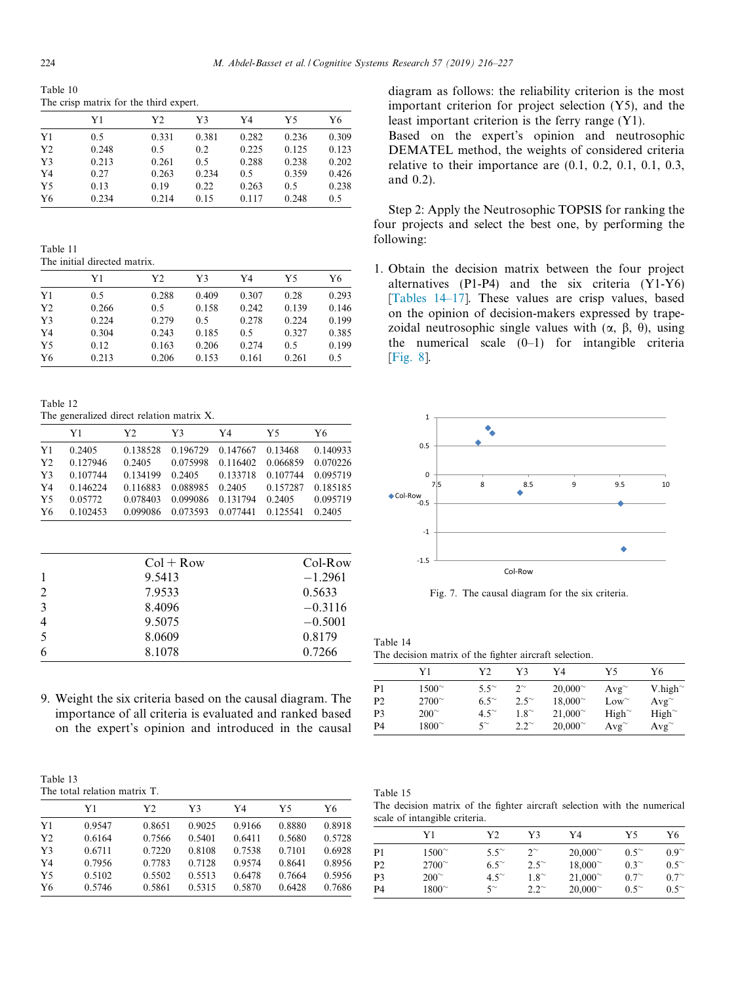<span id="page-8-0"></span>Table 10 The crisp matrix for the third expert.

|                | Y1    | Y2    | Y3    | Y4    | Y5    | Y6    |
|----------------|-------|-------|-------|-------|-------|-------|
| Y1             | 0.5   | 0.331 | 0.381 | 0.282 | 0.236 | 0.309 |
| Y <sub>2</sub> | 0.248 | 0.5   | 0.2   | 0.225 | 0.125 | 0.123 |
| Y <sub>3</sub> | 0.213 | 0.261 | 0.5   | 0.288 | 0.238 | 0.202 |
| Y4             | 0.27  | 0.263 | 0.234 | 0.5   | 0.359 | 0.426 |
| Y5             | 0.13  | 0.19  | 0.22  | 0.263 | 0.5   | 0.238 |
| Y6             | 0.234 | 0.214 | 0.15  | 0.117 | 0.248 | 0.5   |

Table 11 The initial directed matrix.

|                | Y1    | Y2    | Y3    | Y4    | Y5    | Y6    |
|----------------|-------|-------|-------|-------|-------|-------|
| Y1             | 0.5   | 0.288 | 0.409 | 0.307 | 0.28  | 0.293 |
| Y <sub>2</sub> | 0.266 | 0.5   | 0.158 | 0.242 | 0.139 | 0.146 |
| Y <sub>3</sub> | 0.224 | 0.279 | 0.5   | 0.278 | 0.224 | 0.199 |
| Y4             | 0.304 | 0.243 | 0.185 | 0.5   | 0.327 | 0.385 |
| Y <sub>5</sub> | 0.12  | 0.163 | 0.206 | 0.274 | 0.5   | 0.199 |
| Y6             | 0.213 | 0.206 | 0.153 | 0.161 | 0.261 | 0.5   |
|                |       |       |       |       |       |       |

Table 12

The generalized direct relation matrix X.

|                | Y1       | Y2       | Y3                         | Y4       | Y5                | Y6       |
|----------------|----------|----------|----------------------------|----------|-------------------|----------|
| Y1             | 0.2405   | 0.138528 | 0.196729                   | 0.147667 | 0.13468           | 0.140933 |
| Y <sub>2</sub> | 0.127946 | 0.2405   | 0.075998                   | 0.116402 | 0.066859          | 0.070226 |
| Y <sub>3</sub> | 0.107744 | 0.134199 | 0.2405                     |          | 0.133718 0.107744 | 0.095719 |
| Y4             | 0.146224 | 0.116883 | 0.088985                   | 0.2405   | 0.157287          | 0.185185 |
| Y5             | 0.05772  | 0.078403 | 0.099086                   | 0.131794 | 0.2405            | 0.095719 |
| Y6             | 0.102453 |          | 0.099086 0.073593 0.077441 |          | 0.125541          | 0.2405   |
|                |          |          |                            |          |                   |          |
|                |          |          |                            |          |                   |          |

|                | $Col + Row$ | Col-Row   |
|----------------|-------------|-----------|
|                | 9.5413      | $-1.2961$ |
|                | 7.9533      | 0.5633    |
| $\mathcal{R}$  | 8.4096      | $-0.3116$ |
| $\overline{4}$ | 9.5075      | $-0.5001$ |
|                | 8.0609      | 0.8179    |
| 6              | 8.1078      | 0.7266    |

9. Weight the six criteria based on the causal diagram. The importance of all criteria is evaluated and ranked based on the expert's opinion and introduced in the causal

Table 13 The total relation matrix T.

|    | Y1     | Y2     | Y3     | Y4     | Y5     | Υ6     |
|----|--------|--------|--------|--------|--------|--------|
| Y1 | 0.9547 | 0.8651 | 0.9025 | 0.9166 | 0.8880 | 0.8918 |
| Y2 | 0.6164 | 0.7566 | 0.5401 | 0.6411 | 0.5680 | 0.5728 |
| Y3 | 0.6711 | 0.7220 | 0.8108 | 0.7538 | 0.7101 | 0.6928 |
| Y4 | 0.7956 | 0.7783 | 0.7128 | 0.9574 | 0.8641 | 0.8956 |
| Y5 | 0.5102 | 0.5502 | 0.5513 | 0.6478 | 0.7664 | 0.5956 |
| Y6 | 0.5746 | 0.5861 | 0.5315 | 0.5870 | 0.6428 | 0.7686 |
|    |        |        |        |        |        |        |

diagram as follows: the reliability criterion is the most important criterion for project selection (Y5), and the least important criterion is the ferry range (Y1).

Based on the expert's opinion and neutrosophic DEMATEL method, the weights of considered criteria relative to their importance are  $(0.1, 0.2, 0.1, 0.1, 0.3, ...)$ and 0.2).

Step 2: Apply the Neutrosophic TOPSIS for ranking the four projects and select the best one, by performing the following:

1. Obtain the decision matrix between the four project alternatives (P1-P4) and the six criteria (Y1-Y6) [Tables 14–17]. These values are crisp values, based on the opinion of decision-makers expressed by trapezoidal neutrosophic single values with  $(\alpha, \beta, \theta)$ , using the numerical scale  $(0-1)$  for intangible criteria [\[Fig. 8\]](#page-9-0).



Fig. 7. The causal diagram for the six criteria.

Table 14 The decision matrix of the fighter aircraft selection.

|                | Y1             | V٦            | Y3           | .<br>Y4          | Y5                | Υ6                     |
|----------------|----------------|---------------|--------------|------------------|-------------------|------------------------|
| P <sub>1</sub> | $1500^{\circ}$ | $5.5^{\circ}$ | $2^{\sim}$   | $20,000^{\circ}$ | $Avg^{\sim}$      | $V\text{.high}^{\sim}$ |
| P <sub>2</sub> | $2700^{\circ}$ | $6.5^{\circ}$ | $2.5^{\sim}$ | $18,000^{\circ}$ | $Low^{\sim}$      | $Avg^{\sim}$           |
| P <sub>3</sub> | $200^\circ$    | $4.5^{\circ}$ | $1.8^\sim$   | $21,000^{\circ}$ | High <sup>~</sup> | High <sup>~</sup>      |
| P <sub>4</sub> | $1800^\circ$   | $5^{\sim}$    | $2.2^{\sim}$ | $20,000^{\circ}$ | $Avg^{\sim}$      | $Avg^{\sim}$           |

Table 15

The decision matrix of the fighter aircraft selection with the numerical scale of intangible criteria.

|                | Y1             | V2            | Y3           | Y4               | Y5           | Y6           |
|----------------|----------------|---------------|--------------|------------------|--------------|--------------|
| P <sub>1</sub> | $1500^{\circ}$ | $5.5^{\circ}$ | $2^{\sim}$   | $20,000^{\circ}$ | $0.5^{\sim}$ | $0.9^\sim$   |
| P <sub>2</sub> | $2700^{\circ}$ | $6.5^{\sim}$  | $2.5^{\sim}$ | $18,000^{\circ}$ | $0.3^{\sim}$ | $0.5^{\sim}$ |
| P <sub>3</sub> | $200^\circ$    | $4.5^{\circ}$ | $1.8^{\sim}$ | $21,000^{\circ}$ | $0.7^\sim$   | $0.7^\circ$  |
| P4             | $1800^\circ$   | $5^{\sim}$    | $2.2^{\sim}$ | $20,000^{\circ}$ | $0.5^{\sim}$ | $0.5^{\sim}$ |
|                |                |               |              |                  |              |              |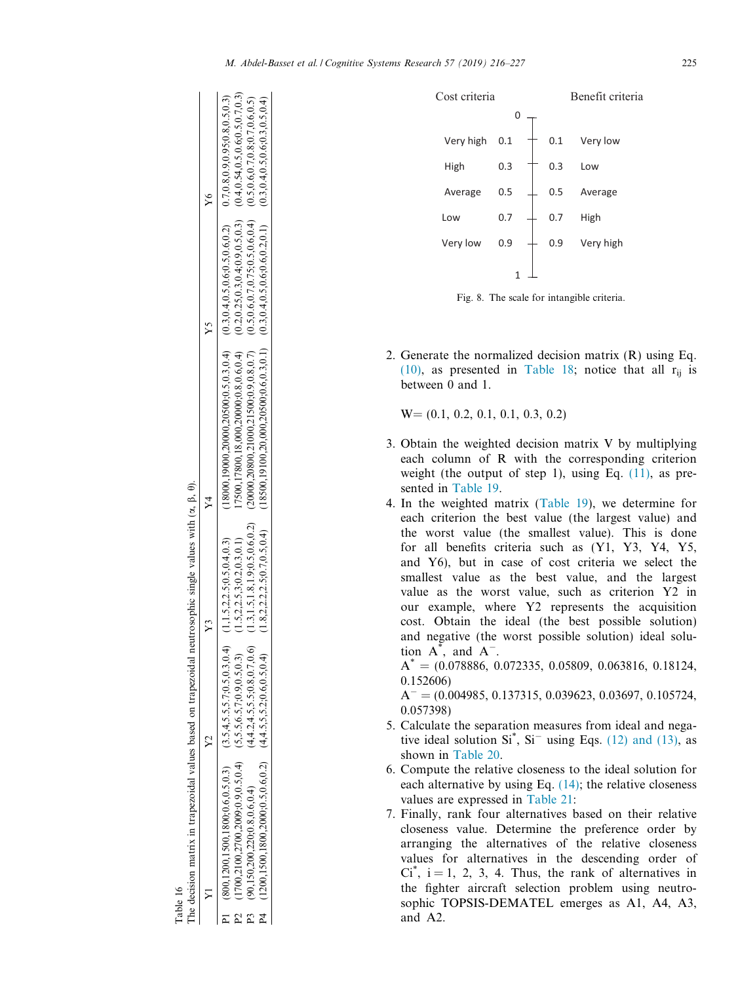<span id="page-9-0"></span>

|              | The decision matrix in trapezoidal values based on trapezoidal neutrosophic single values with $(\alpha, \beta, \theta)$ .<br>Table 16 |                                      |                                      |                                                                                                                             |                                                                              |   |
|--------------|----------------------------------------------------------------------------------------------------------------------------------------|--------------------------------------|--------------------------------------|-----------------------------------------------------------------------------------------------------------------------------|------------------------------------------------------------------------------|---|
|              |                                                                                                                                        |                                      |                                      |                                                                                                                             |                                                                              |   |
|              |                                                                                                                                        |                                      |                                      |                                                                                                                             |                                                                              | Ý |
|              | P1 (800,1200,1500,1800;0.6,0.5,0.3) (3.5,4,5.5,7;0.5,0.3,0.4)                                                                          |                                      | (1, 1, 5, 2, 2, 5, 0, 5, 0, 4, 0, 3) | $(0.30000, 18000, 200000, 20500, 60.5, 0.5, 0.6, 0.5, 0.6, 0.5, 0.6, 0.5, 0.6, 0.2)$                                        |                                                                              |   |
| $\mathbb{Z}$ | $(1700, 2100, 2700, 2009; 0.9, 0.5, 0.4)$ $(5, 5, 5, 6, 5, 7; 0.9, 0.5, 0.3)$                                                          |                                      | (1.5, 2, 2.5, 3, 0.2, 0.3, 0.1)      | 17500, 17800, 18, 000, 20000; 0.8, 0.6, 0.4)                                                                                | $(0.2, 0.25, 0.3, 0.4, 0.9, 0.5, 0.3)$ $(0.4, 0.5, 0.5, 0.5, 0.7, 0.3)$      |   |
|              | (90, 150, 200, 220, 0.8, 0.6, 0.4)                                                                                                     | (4.4.2.4.5.5.0.8.0.7.0.6             |                                      | $1.3, 1.5, 1.8, 1.9, 0.5, 0.6, 0.2$ (20000,20800,21000,21500,0.9,0.8,0.7)                                                   | $(0.5, 0.6, 0.7, 0.75, 0.5, 0.6, 0.4)$ $(0.5, 0.6, 0.7, 0.8, 0.7, 0.6, 0.5)$ |   |
|              | $(1200, 1500, 1800, 2000, 0.5, 0.6, 0.2)$                                                                                              | (4, 4, 5, 5, 5, 2, 0, 6, 0, 5, 0, 4) | (1.8, 2, 2.2, 2.5, 0.7, 0.5, 0.4)    | $(18500, 19100, 205000, 205000, 6, 0.3, 0.1)$ $(0.3, 0.4, 0.5, 0.5, 0.5, 0.4, 0.4, 0.5, 0.5, 0.5, 0.5, 0.5, 0.5, 0.5, 0.4)$ |                                                                              |   |
|              |                                                                                                                                        |                                      |                                      |                                                                                                                             |                                                                              |   |



Fig. 8. The scale for intangible criteria.

2. Generate the normalized decision matrix (R) using Eq.  $(10)$ , as presented in [Table 18](#page-10-0); notice that all  $r_{ii}$  is between 0 and 1.

W= (0.1, 0.2, 0.1, 0.1, 0.3, 0.2)

- 3. Obtain the weighted decision matrix V by multiplying each column of R with the corresponding criterion weight (the output of step 1), using Eq.  $(11)$ , as presented in [Table 19.](#page-10-0)
- 4. In the weighted matrix ([Table 19\)](#page-10-0), we determine for each criterion the best value (the largest value) and the worst value (the smallest value). This is done for all benefits criteria such as (Y1, Y3, Y4, Y5, and Y6), but in case of cost criteria we select the smallest value as the best value, and the largest value as the worst value, such as criterion Y2 in our example, where Y2 represents the acquisition cost. Obtain the ideal (the best possible solution) and negative (the worst possible solution) ideal solution  $A^*$ , and  $A^-$ .

 $A^* = (0.078886, 0.072335, 0.05809, 0.063816, 0.18124,$ 0.152606)

 $A^-$  = (0.004985, 0.137315, 0.039623, 0.03697, 0.105724, 0.057398)

- 5. Calculate the separation measures from ideal and negative ideal solution  $Si^*$ ,  $Si^-$  using Eqs. [\(12\) and \(13\)](#page-6-0), as shown in [Table 20](#page-10-0).
- 6. Compute the relative closeness to the ideal solution for each alternative by using Eq.  $(14)$ ; the relative closeness values are expressed in [Table 21:](#page-10-0)
- 7. Finally, rank four alternatives based on their relative closeness value. Determine the preference order by arranging the alternatives of the relative closeness values for alternatives in the descending order of  $Ci^*$ ,  $i = 1, 2, 3, 4$ . Thus, the rank of alternatives in the fighter aircraft selection problem using neutrosophic TOPSIS-DEMATEL emerges as A1, A4, A3, and A2.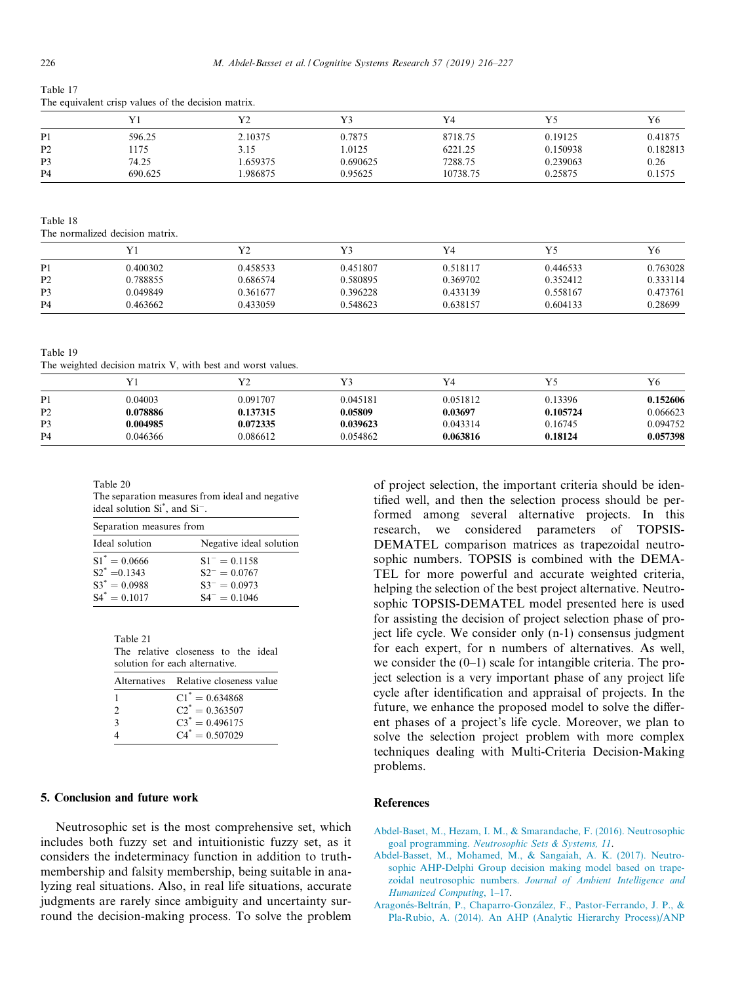|         |         |          | Y4       |          | Y6       |
|---------|---------|----------|----------|----------|----------|
| 596.25  | 2.10375 | 0.7875   | 8718.75  | 0.19125  | 0.41875  |
| 175     | 3.15    | 1.0125   | 6221.25  | 0.150938 | 0.182813 |
| 74.25   | .659375 | 0.690625 | 7288.75  | 0.239063 | 0.26     |
| 690.625 | .986875 | 0.95625  | 10738.75 | 0.25875  | 0.1575   |
|         |         |          |          |          |          |

<span id="page-10-0"></span>Table 17 The equivalent crisp values of the decision matrix.

Table 18

The normalized decision matrix.

|                |          |          |          | Y4       |          | Y6       |
|----------------|----------|----------|----------|----------|----------|----------|
| P <sub>1</sub> | 0.400302 | 0.458533 | 0.451807 | 0.518117 | 0.446533 | 0.763028 |
| P <sub>2</sub> | 0.788855 | 0.686574 | 0.580895 | 0.369702 | 0.352412 | 0.333114 |
| P <sub>3</sub> | 0.049849 | 0.361677 | 0.396228 | 0.433139 | 0.558167 | 0.473761 |
| P <sub>4</sub> | 0.463662 | 0.433059 | 0.548623 | 0.638157 | 0.604133 | 0.28699  |

Table 19

The weighted decision matrix V, with best and worst values.

| ~              |          |          |          |          |          |          |
|----------------|----------|----------|----------|----------|----------|----------|
|                |          |          |          | Y4       |          |          |
| P <sub>1</sub> | 0.04003  | 0.091707 | 0.045181 | 0.051812 | 0.13396  | 0.152606 |
| P <sub>2</sub> | 0.078886 | 0.137315 | 0.05809  | 0.03697  | 0.105724 | 0.066623 |
| P <sub>3</sub> | 0.004985 | 0.072335 | 0.039623 | 0.043314 | 0.16745  | 0.094752 |
| P4             | 0.046366 | 0.086612 | 0.054862 | 0.063816 | 0.18124  | 0.057398 |

Table 20 The separation measures from ideal and negative ideal solution  $Si^*$ , and  $Si^-$ .

| Separation measures from                                                 |                                                                                |
|--------------------------------------------------------------------------|--------------------------------------------------------------------------------|
| Ideal solution                                                           | Negative ideal solution                                                        |
| $S1^* = 0.0666$<br>$S2^* = 0.1343$<br>$S3^* = 0.0988$<br>$S4^* = 0.1017$ | $S1^- = 0.1158$<br>$S2^{-} = 0.0767$<br>$S3^{-} = 0.0973$<br>$S4^{-} = 0.1046$ |

Table 21 The relative closeness to the ideal solution for each alternative.

|   | Alternatives Relative closeness value |
|---|---------------------------------------|
| 1 | $Cl^* = 0.634868$                     |
| 2 | $C2^* = 0.363507$                     |
| 3 | $C3^* = 0.496175$                     |
| 4 | $C4^* = 0.507029$                     |

#### 5. Conclusion and future work

Neutrosophic set is the most comprehensive set, which includes both fuzzy set and intuitionistic fuzzy set, as it considers the indeterminacy function in addition to truthmembership and falsity membership, being suitable in analyzing real situations. Also, in real life situations, accurate judgments are rarely since ambiguity and uncertainty surround the decision-making process. To solve the problem

of project selection, the important criteria should be identified well, and then the selection process should be performed among several alternative projects. In this research, we considered parameters of TOPSIS-DEMATEL comparison matrices as trapezoidal neutrosophic numbers. TOPSIS is combined with the DEMA-TEL for more powerful and accurate weighted criteria, helping the selection of the best project alternative. Neutrosophic TOPSIS-DEMATEL model presented here is used for assisting the decision of project selection phase of project life cycle. We consider only (n-1) consensus judgment for each expert, for n numbers of alternatives. As well, we consider the  $(0-1)$  scale for intangible criteria. The project selection is a very important phase of any project life cycle after identification and appraisal of projects. In the future, we enhance the proposed model to solve the different phases of a project's life cycle. Moreover, we plan to solve the selection project problem with more complex techniques dealing with Multi-Criteria Decision-Making problems.

### References

- [Abdel-Baset, M., Hezam, I. M., & Smarandache, F. \(2016\). Neutrosophic](http://refhub.elsevier.com/S1389-0417(18)30497-2/h0005) goal programming. [Neutrosophic Sets & Systems, 11](http://refhub.elsevier.com/S1389-0417(18)30497-2/h0005).
- [Abdel-Basset, M., Mohamed, M., & Sangaiah, A. K. \(2017\). Neutro](http://refhub.elsevier.com/S1389-0417(18)30497-2/h0010)[sophic AHP-Delphi Group decision making model based on trape](http://refhub.elsevier.com/S1389-0417(18)30497-2/h0010)zoidal neutrosophic numbers. [Journal of Ambient Intelligence and](http://refhub.elsevier.com/S1389-0417(18)30497-2/h0010) [Humanized Computing](http://refhub.elsevier.com/S1389-0417(18)30497-2/h0010)[, 1–17](http://refhub.elsevier.com/S1389-0417(18)30497-2/h0010).
- Aragonés-Beltrán, P., Chaparro-González, F., Pastor-Ferrando, J. P., & [Pla-Rubio, A. \(2014\). An AHP \(Analytic Hierarchy Process\)/ANP](http://refhub.elsevier.com/S1389-0417(18)30497-2/h0015)